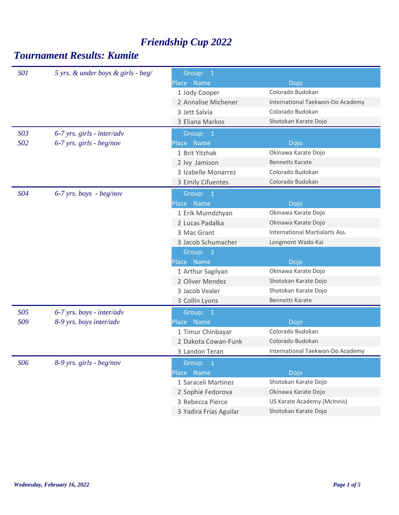| <b>SO1</b>      | 5 yrs. & under boys & girls - beg/ | Group: 1               |                                  |
|-----------------|------------------------------------|------------------------|----------------------------------|
|                 |                                    | Place Name             | Dojo                             |
|                 |                                    | 1 Jody Cooper          | Colorado Budokan                 |
|                 |                                    | 2 Annalise Michener    | International Taekwon-Do Academy |
|                 |                                    | 3 Jett Salvia          | Colorado Budokan                 |
|                 |                                    | 3 Eliana Markos        | Shotokan Karate Dojo             |
| S <sub>03</sub> | $6-7$ yrs. girls - inter/adv       | Group: 1               |                                  |
| S02             | $6-7$ yrs. girls - beg/nov         | Place Name             | Dojo                             |
|                 |                                    | 1 Brit Yitzhak         | Okinawa Karate Dojo              |
|                 |                                    | 2 lvy Jamison          | <b>Bennetts Karate</b>           |
|                 |                                    | 3 Izabelle Monarrez    | Colorado Budokan                 |
|                 |                                    | 3 Emily Cifuentes      | Colorado Budokan                 |
| S04             | $6-7$ yrs. boys - beg/nov          | Group: 1               |                                  |
|                 |                                    | Place Name             | Dojo                             |
|                 |                                    | 1 Erik Mumdzhyan       | Okinawa Karate Dojo              |
|                 |                                    | 2 Lucas Padalka        | Okinawa Karate Dojo              |
|                 |                                    | 3 Mac Grant            | International Martialarts Ass.   |
|                 |                                    | 3 Jacob Schumacher     | Longmont Wado-Kai                |
|                 |                                    | Group: 2               |                                  |
|                 |                                    | Place Name             | Dojo                             |
|                 |                                    | 1 Arthur Sagilyan      | Okinawa Karate Dojo              |
|                 |                                    | 2 Oliver Mendez        | Shotokan Karate Dojo             |
|                 |                                    | 3 Jacob Vexler         | Shotokan Karate Dojo             |
|                 |                                    | 3 Collin Lyons         | <b>Bennetts Karate</b>           |
| S05             | $6-7$ yrs. boys - inter/adv        | Group: 1               |                                  |
| S09             | 8-9 yrs. boys inter/adv            | Place Name             | Dojo                             |
|                 |                                    | 1 Timur Chinbayar      | Colorado Budokan                 |
|                 |                                    | 2 Dakota Cowan-Funk    | Colorado Budokan                 |
|                 |                                    | 3 Landon Teran         | International Taekwon-Do Academy |
| S06             | 8-9 yrs. girls - beg/nov           | Group: 1               |                                  |
|                 |                                    | Place Name             | Dojo                             |
|                 |                                    | 1 Saraceli Martinez    | Shotokan Karate Dojo             |
|                 |                                    | 2 Sophie Fedorova      | Okinawa Karate Dojo              |
|                 |                                    | 3 Rebecca Pierce       | US Karate Academy (McInnis)      |
|                 |                                    | 3 Yadira Frias Aguilar | Shotokan Karate Dojo             |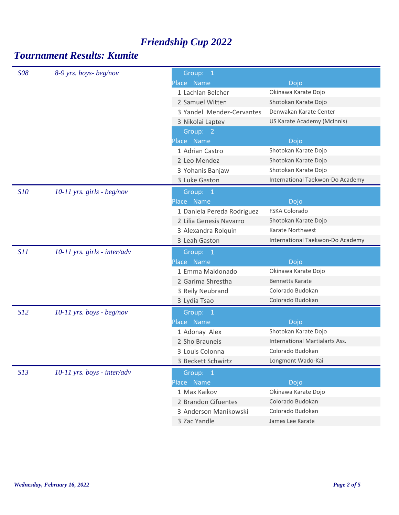| <b>S08</b> | 8-9 yrs. boys-beg/nov          | Group: 1                   |                                       |
|------------|--------------------------------|----------------------------|---------------------------------------|
|            |                                | Place Name                 | Dojo                                  |
|            |                                | 1 Lachlan Belcher          | Okinawa Karate Dojo                   |
|            |                                | 2 Samuel Witten            | Shotokan Karate Dojo                  |
|            |                                | 3 Yandel Mendez-Cervantes  | Denwakan Karate Center                |
|            |                                | 3 Nikolai Laptev           | US Karate Academy (McInnis)           |
|            |                                | Group: 2                   |                                       |
|            |                                | Place Name                 | Dojo                                  |
|            |                                | 1 Adrian Castro            | Shotokan Karate Dojo                  |
|            |                                | 2 Leo Mendez               | Shotokan Karate Dojo                  |
|            |                                | 3 Yohanis Banjaw           | Shotokan Karate Dojo                  |
|            |                                | 3 Luke Gaston              | International Taekwon-Do Academy      |
| S10        | $10-11$ yrs. girls - beg/nov   | Group: 1                   |                                       |
|            |                                | Place Name                 | Dojo                                  |
|            |                                | 1 Daniela Pereda Rodriguez | FSKA Colorado                         |
|            |                                | 2 Lilia Genesis Navarro    | Shotokan Karate Dojo                  |
|            |                                | 3 Alexandra Rolquin        | Karate Northwest                      |
|            |                                | 3 Leah Gaston              | International Taekwon-Do Academy      |
| S11        | $10-11$ yrs. girls - inter/adv | Group: 1                   |                                       |
|            |                                | Place Name                 | Dojo                                  |
|            |                                | 1 Emma Maldonado           | Okinawa Karate Dojo                   |
|            |                                | 2 Garima Shrestha          | <b>Bennetts Karate</b>                |
|            |                                | 3 Reily Neubrand           | Colorado Budokan                      |
|            |                                | 3 Lydia Tsao               | Colorado Budokan                      |
| S12        | $10-11$ yrs. boys - beg/nov    | Group: 1                   |                                       |
|            |                                | Place Name                 | Dojo                                  |
|            |                                | 1 Adonay Alex              | Shotokan Karate Dojo                  |
|            |                                | 2 Sho Brauneis             | <b>International Martialarts Ass.</b> |
|            |                                | 3 Louis Colonna            | Colorado Budokan                      |
|            |                                | 3 Beckett Schwirtz         | Longmont Wado-Kai                     |
| S13        | $10-11$ yrs. boys - inter/adv  | Group: 1                   |                                       |
|            |                                | Place Name                 | Dojo                                  |
|            |                                |                            |                                       |
|            |                                | 1 Max Kaikov               | Okinawa Karate Dojo                   |
|            |                                | 2 Brandon Cifuentes        | Colorado Budokan                      |
|            |                                | 3 Anderson Manikowski      | Colorado Budokan                      |
|            |                                | 3 Zac Yandle               | James Lee Karate                      |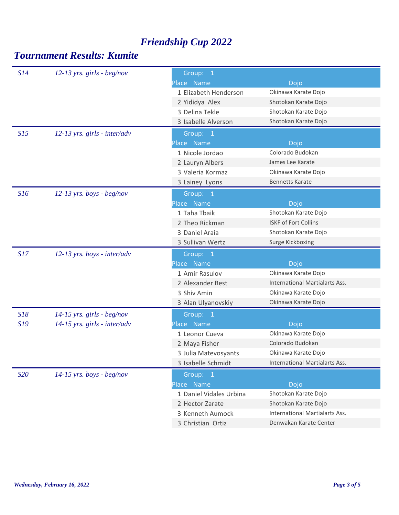| S14 | $12-13$ yrs. girls - beg/nov   | Group: 1                |                                |  |
|-----|--------------------------------|-------------------------|--------------------------------|--|
|     |                                | Place Name              | Dojo                           |  |
|     |                                | 1 Elizabeth Henderson   | Okinawa Karate Dojo            |  |
|     |                                | 2 Yididya Alex          | Shotokan Karate Dojo           |  |
|     |                                | 3 Delina Tekle          | Shotokan Karate Dojo           |  |
|     |                                | 3 Isabelle Alverson     | Shotokan Karate Dojo           |  |
| S15 | $12-13$ yrs. girls - inter/adv | Group: 1                |                                |  |
|     |                                | Place Name              | Dojo                           |  |
|     |                                | 1 Nicole Jordao         | Colorado Budokan               |  |
|     |                                | 2 Lauryn Albers         | James Lee Karate               |  |
|     |                                | 3 Valeria Kormaz        | Okinawa Karate Dojo            |  |
|     |                                | 3 Lainey Lyons          | <b>Bennetts Karate</b>         |  |
| S16 | $12-13$ yrs. boys - beg/nov    | Group: 1                |                                |  |
|     |                                | Place Name              | Dojo                           |  |
|     |                                | 1 Taha Tbaik            | Shotokan Karate Dojo           |  |
|     |                                | 2 Theo Rickman          | <b>ISKF of Fort Collins</b>    |  |
|     |                                | 3 Daniel Araia          | Shotokan Karate Dojo           |  |
|     |                                | 3 Sullivan Wertz        | Surge Kickboxing               |  |
|     |                                |                         |                                |  |
| S17 | $12-13$ yrs. boys - inter/adv  | Group: 1                |                                |  |
|     |                                | Place Name              | Dojo                           |  |
|     |                                | 1 Amir Rasulov          | Okinawa Karate Dojo            |  |
|     |                                | 2 Alexander Best        | International Martialarts Ass. |  |
|     |                                | 3 Shiv Amin             | Okinawa Karate Dojo            |  |
|     |                                | 3 Alan Ulyanovskiy      | Okinawa Karate Dojo            |  |
| S18 | $14-15$ yrs. girls - beg/nov   | Group: 1                |                                |  |
| S19 | $14-15$ yrs. girls - inter/adv | Place Name              | Dojo                           |  |
|     |                                | 1 Leonor Cueva          | Okinawa Karate Dojo            |  |
|     |                                | 2 Maya Fisher           | Colorado Budokan               |  |
|     |                                | 3 Julia Matevosyants    | Okinawa Karate Dojo            |  |
|     |                                | 3 Isabelle Schmidt      | International Martialarts Ass. |  |
| S20 | $14-15$ yrs. boys - beg/nov    | Group: 1                |                                |  |
|     |                                | Place Name              | Dojo                           |  |
|     |                                | 1 Daniel Vidales Urbina | Shotokan Karate Dojo           |  |
|     |                                | 2 Hector Zarate         | Shotokan Karate Dojo           |  |
|     |                                | 3 Kenneth Aumock        | International Martialarts Ass. |  |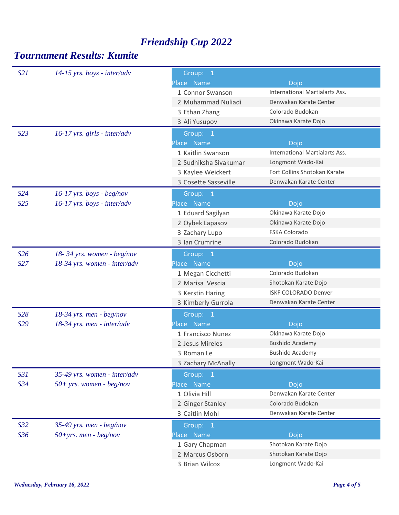| S21             | $14-15$ yrs. boys - inter/adv  | Group: 1              |                                |  |
|-----------------|--------------------------------|-----------------------|--------------------------------|--|
|                 |                                | Place Name            | Dojo                           |  |
|                 |                                | 1 Connor Swanson      | International Martialarts Ass. |  |
|                 |                                | 2 Muhammad Nuliadi    | Denwakan Karate Center         |  |
|                 |                                | 3 Ethan Zhang         | Colorado Budokan               |  |
|                 |                                | 3 Ali Yusupov         | Okinawa Karate Dojo            |  |
| S23             | $16-17$ yrs. girls - inter/adv | Group: 1              |                                |  |
|                 |                                | Place Name            | Dojo                           |  |
|                 |                                | 1 Kaitlin Swanson     | International Martialarts Ass. |  |
|                 |                                | 2 Sudhiksha Sivakumar | Longmont Wado-Kai              |  |
|                 |                                | 3 Kaylee Weickert     | Fort Collins Shotokan Karate   |  |
|                 |                                | 3 Cosette Sasseville  | Denwakan Karate Center         |  |
| S <sub>24</sub> | $16-17$ yrs. boys - beg/nov    | Group: 1              |                                |  |
| S <sub>25</sub> | $16-17$ yrs. boys - inter/adv  | Place Name            | Dojo                           |  |
|                 |                                | 1 Eduard Sagilyan     | Okinawa Karate Dojo            |  |
|                 |                                | 2 Oybek Lapasov       | Okinawa Karate Dojo            |  |
|                 |                                | 3 Zachary Lupo        | <b>FSKA Colorado</b>           |  |
|                 |                                | 3 Ian Crumrine        | Colorado Budokan               |  |
| S <sub>26</sub> | 18-34 yrs. women - beg/nov     | Group: 1              |                                |  |
| S27             | 18-34 yrs. women - inter/adv   | Place Name            | Dojo                           |  |
|                 |                                | 1 Megan Cicchetti     | Colorado Budokan               |  |
|                 |                                | 2 Marisa Vescia       | Shotokan Karate Dojo           |  |
|                 |                                | 3 Kerstin Haring      | <b>ISKF COLORADO Denver</b>    |  |
|                 |                                | 3 Kimberly Gurrola    | Denwakan Karate Center         |  |
| S28             | $18-34$ yrs. men - beg/nov     | Group: 1              |                                |  |
| S29             | 18-34 yrs. men - inter/adv     | Place Name            | Dojo                           |  |
|                 |                                | 1 Francisco Nunez     | Okinawa Karate Dojo            |  |
|                 |                                | 2 Jesus Mireles       | <b>Bushido Academy</b>         |  |
|                 |                                | 3 Roman Le            | <b>Bushido Academy</b>         |  |
|                 |                                | 3 Zachary McAnally    | Longmont Wado-Kai              |  |
| S31             | 35-49 yrs. women - inter/adv   | Group: 1              |                                |  |
| S34             | $50+$ yrs. women - beg/nov     | Place Name            | Dojo                           |  |
|                 |                                | 1 Olivia Hill         | Denwakan Karate Center         |  |
|                 |                                | 2 Ginger Stanley      | Colorado Budokan               |  |
|                 |                                | 3 Caitlin Mohl        | Denwakan Karate Center         |  |
| S <sub>32</sub> | 35-49 yrs. men - beg/nov       | Group: 1              |                                |  |
| S36             | $50+yrs$ . men - beg/nov       | Place Name            | Dojo                           |  |
|                 |                                | 1 Gary Chapman        | Shotokan Karate Dojo           |  |
|                 |                                | 2 Marcus Osborn       | Shotokan Karate Dojo           |  |
|                 |                                | 3 Brian Wilcox        | Longmont Wado-Kai              |  |